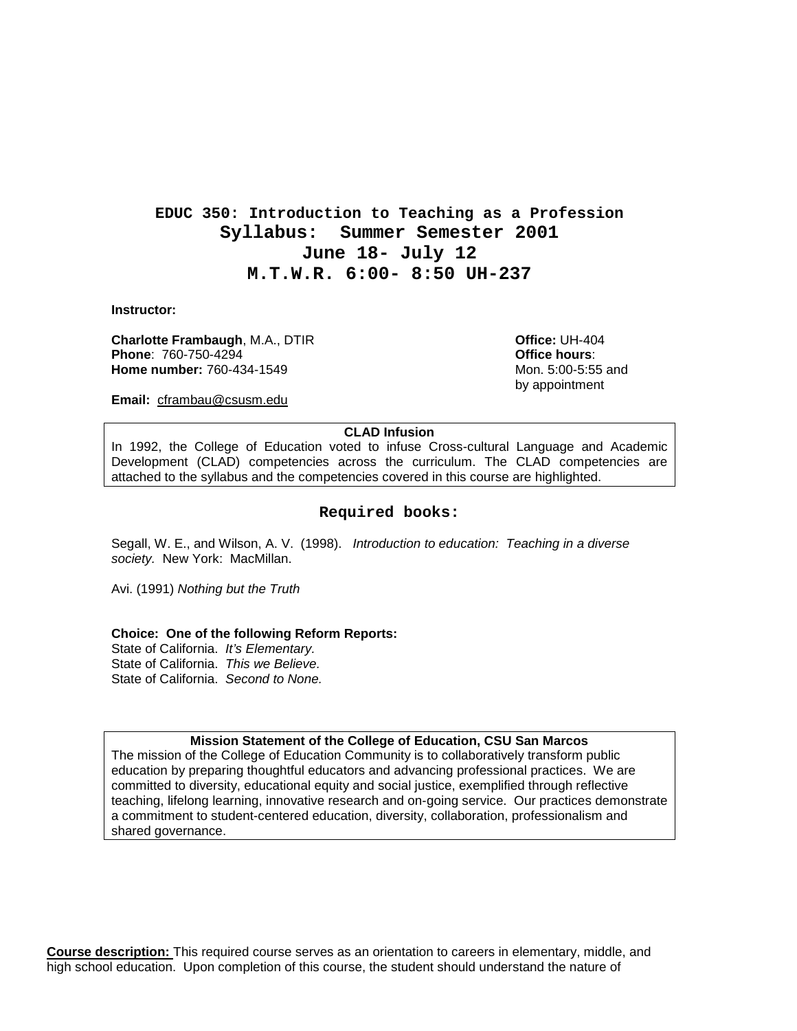### **EDUC 350: Introduction to Teaching as a Profession Syllabus: Summer Semester 2001 June 18- July 12 M.T.W.R. 6:00- 8:50 UH-237**

**Instructor:**

**Charlotte Frambaugh**, M.A., DTIR **Charlotte Charlotte: UH-404**<br> **Phone:** 760-750-4294 **Phone: 760-750-4294 Home number:** 760-434-1549 Mon. 5:00-5:55 and

by appointment

**Email:** cframbau@csusm.edu

#### **CLAD Infusion**

In 1992, the College of Education voted to infuse Cross-cultural Language and Academic Development (CLAD) competencies across the curriculum. The CLAD competencies are attached to the syllabus and the competencies covered in this course are highlighted.

#### **Required books:**

Segall, W. E., and Wilson, A. V. (1998). *Introduction to education: Teaching in a diverse society.* New York: MacMillan.

Avi. (1991) *Nothing but the Truth*

#### **Choice: One of the following Reform Reports:**

State of California. *It's Elementary.* State of California. *This we Believe.* State of California. *Second to None.*

#### **Mission Statement of the College of Education, CSU San Marcos**

The mission of the College of Education Community is to collaboratively transform public education by preparing thoughtful educators and advancing professional practices. We are committed to diversity, educational equity and social justice, exemplified through reflective teaching, lifelong learning, innovative research and on-going service. Our practices demonstrate a commitment to student-centered education, diversity, collaboration, professionalism and shared governance.

**Course description:** This required course serves as an orientation to careers in elementary, middle, and high school education. Upon completion of this course, the student should understand the nature of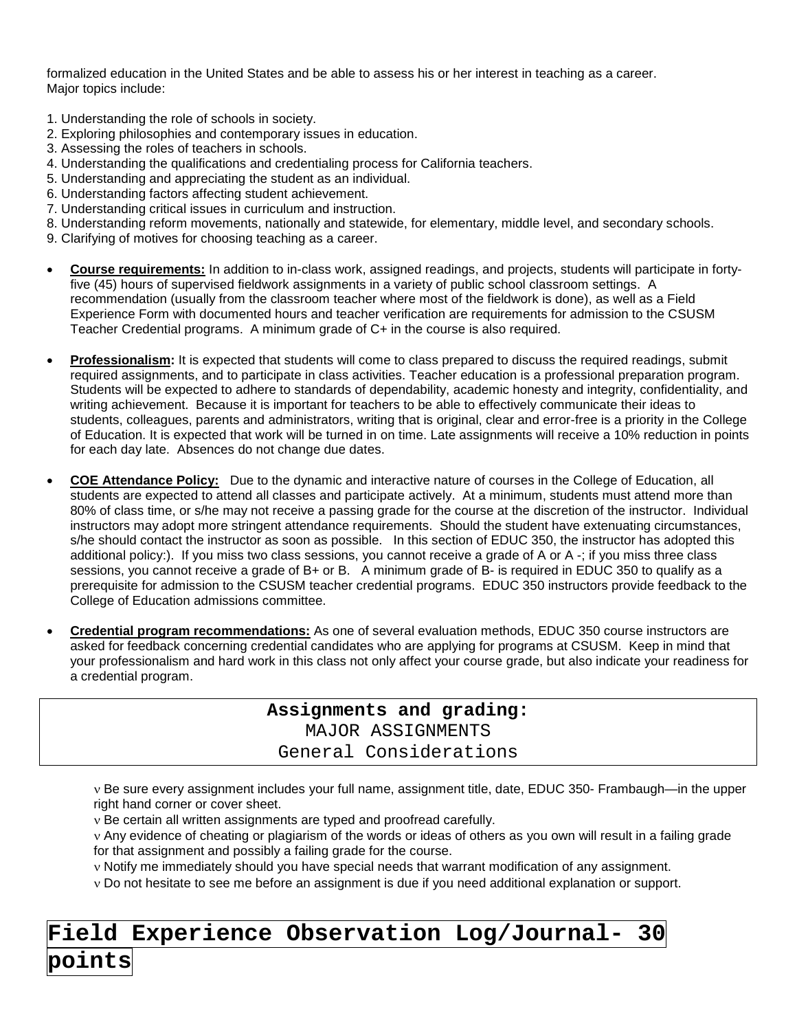formalized education in the United States and be able to assess his or her interest in teaching as a career. Major topics include:

- 1. Understanding the role of schools in society.
- 2. Exploring philosophies and contemporary issues in education.
- 3. Assessing the roles of teachers in schools.
- 4. Understanding the qualifications and credentialing process for California teachers.
- 5. Understanding and appreciating the student as an individual.
- 6. Understanding factors affecting student achievement.
- 7. Understanding critical issues in curriculum and instruction.
- 8. Understanding reform movements, nationally and statewide, for elementary, middle level, and secondary schools.
- 9. Clarifying of motives for choosing teaching as a career.
- **Course requirements:** In addition to in-class work, assigned readings, and projects, students will participate in fortyfive (45) hours of supervised fieldwork assignments in a variety of public school classroom settings. A recommendation (usually from the classroom teacher where most of the fieldwork is done), as well as a Field Experience Form with documented hours and teacher verification are requirements for admission to the CSUSM Teacher Credential programs. A minimum grade of C+ in the course is also required.
- **Professionalism:** It is expected that students will come to class prepared to discuss the required readings, submit required assignments, and to participate in class activities. Teacher education is a professional preparation program. Students will be expected to adhere to standards of dependability, academic honesty and integrity, confidentiality, and writing achievement. Because it is important for teachers to be able to effectively communicate their ideas to students, colleagues, parents and administrators, writing that is original, clear and error-free is a priority in the College of Education. It is expected that work will be turned in on time. Late assignments will receive a 10% reduction in points for each day late. Absences do not change due dates.
- **COE Attendance Policy:** Due to the dynamic and interactive nature of courses in the College of Education, all students are expected to attend all classes and participate actively. At a minimum, students must attend more than 80% of class time, or s/he may not receive a passing grade for the course at the discretion of the instructor. Individual instructors may adopt more stringent attendance requirements. Should the student have extenuating circumstances, s/he should contact the instructor as soon as possible. In this section of EDUC 350, the instructor has adopted this additional policy:). If you miss two class sessions, you cannot receive a grade of A or A -; if you miss three class sessions, you cannot receive a grade of B+ or B. A minimum grade of B- is required in EDUC 350 to qualify as a prerequisite for admission to the CSUSM teacher credential programs. EDUC 350 instructors provide feedback to the College of Education admissions committee.
- **Credential program recommendations:** As one of several evaluation methods, EDUC 350 course instructors are asked for feedback concerning credential candidates who are applying for programs at CSUSM. Keep in mind that your professionalism and hard work in this class not only affect your course grade, but also indicate your readiness for a credential program.

**Assignments and grading:** MAJOR ASSIGNMENTS General Considerations

ν Be sure every assignment includes your full name, assignment title, date, EDUC 350- Frambaugh—in the upper right hand corner or cover sheet.

ν Be certain all written assignments are typed and proofread carefully.

ν Any evidence of cheating or plagiarism of the words or ideas of others as you own will result in a failing grade for that assignment and possibly a failing grade for the course.

ν Notify me immediately should you have special needs that warrant modification of any assignment.

ν Do not hesitate to see me before an assignment is due if you need additional explanation or support.

# **Field Experience Observation Log/Journal- 30**

## **points**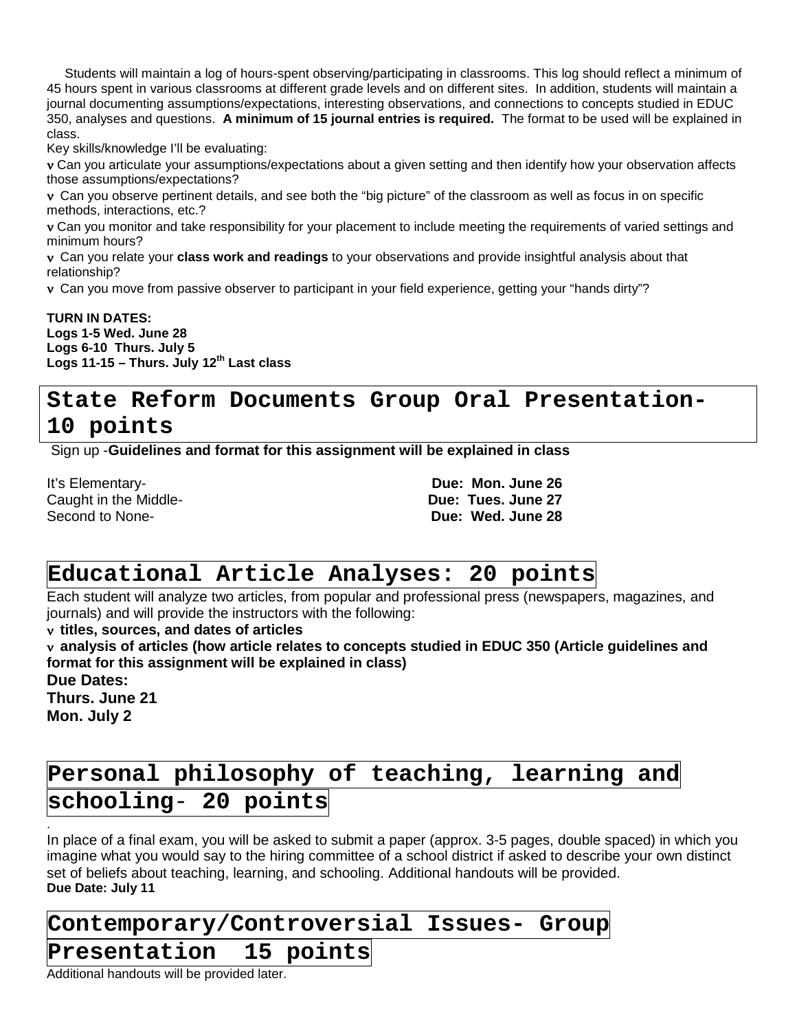Students will maintain a log of hours-spent observing/participating in classrooms. This log should reflect a minimum of 45 hours spent in various classrooms at different grade levels and on different sites. In addition, students will maintain a journal documenting assumptions/expectations, interesting observations, and connections to concepts studied in EDUC 350, analyses and questions. **A minimum of 15 journal entries is required.** The format to be used will be explained in class.

Key skills/knowledge I'll be evaluating:

ν Can you articulate your assumptions/expectations about a given setting and then identify how your observation affects those assumptions/expectations?

ν Can you observe pertinent details, and see both the "big picture" of the classroom as well as focus in on specific methods, interactions, etc.?

ν Can you monitor and take responsibility for your placement to include meeting the requirements of varied settings and minimum hours?

ν Can you relate your **class work and readings** to your observations and provide insightful analysis about that relationship?

ν Can you move from passive observer to participant in your field experience, getting your "hands dirty"?

**TURN IN DATES: Logs 1-5 Wed. June 28 Logs 6-10 Thurs. July 5 Logs 11-15 – Thurs. July 12th Last class**

## **State Reform Documents Group Oral Presentation-10 points**

Sign up -**Guidelines and format for this assignment will be explained in class**

It's Elementary- **Due: Mon. June 26 Caught in the Middle-**<br>Second to None-

Due: Wed. June 28

## **Educational Article Analyses: 20 points**

Each student will analyze two articles, from popular and professional press (newspapers, magazines, and journals) and will provide the instructors with the following:

ν **titles, sources, and dates of articles**

ν **analysis of articles (how article relates to concepts studied in EDUC 350 (Article guidelines and format for this assignment will be explained in class)**

**Due Dates:**

.

**Thurs. June 21 Mon. July 2**

## **Personal philosophy of teaching, learning and schooling**- **20 points**

In place of a final exam, you will be asked to submit a paper (approx. 3-5 pages, double spaced) in which you imagine what you would say to the hiring committee of a school district if asked to describe your own distinct set of beliefs about teaching, learning, and schooling. Additional handouts will be provided. **Due Date: July 11**

### **Contemporary/Controversial Issues- Group**

### **Presentation 15 points**

Additional handouts will be provided later.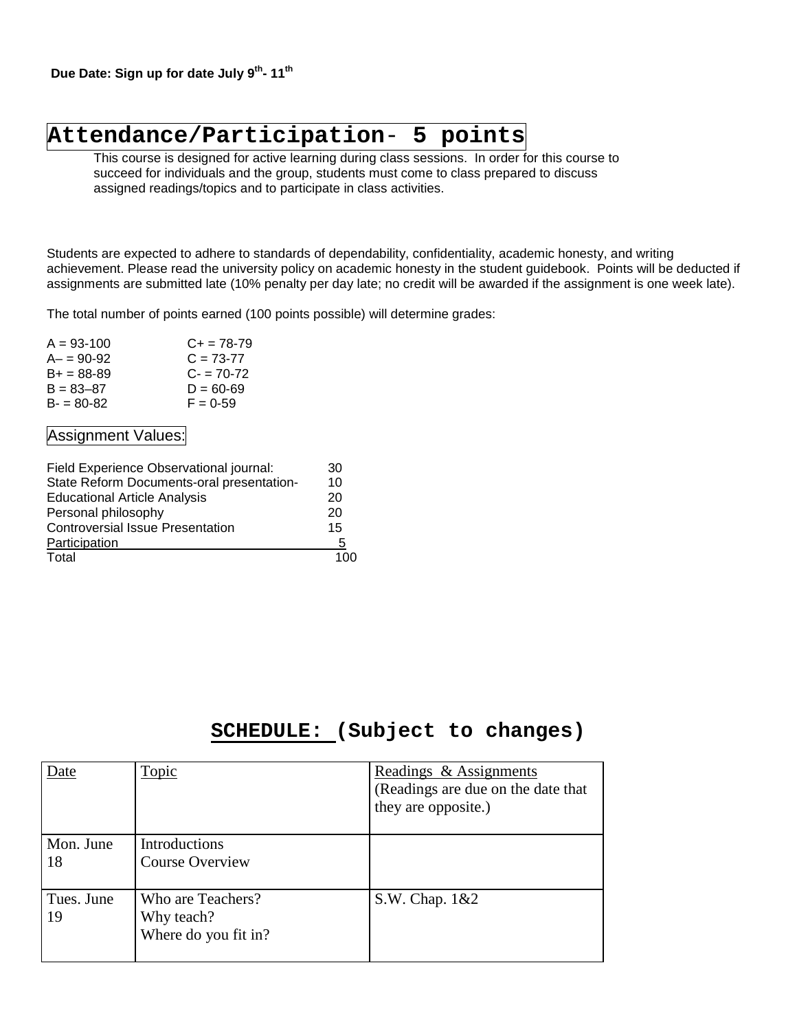## **Attendance/Participation**- **5 points**

This course is designed for active learning during class sessions. In order for this course to succeed for individuals and the group, students must come to class prepared to discuss assigned readings/topics and to participate in class activities.

Students are expected to adhere to standards of dependability, confidentiality, academic honesty, and writing achievement. Please read the university policy on academic honesty in the student guidebook. Points will be deducted if assignments are submitted late (10% penalty per day late; no credit will be awarded if the assignment is one week late).

The total number of points earned (100 points possible) will determine grades:

| $A = 93 - 100$ | $C_{+}$ = 78-79 |
|----------------|-----------------|
| $A - 90 - 92$  | $C = 73-77$     |
| $B+ = 88-89$   | $C - 70-72$     |
| $B = 83 - 87$  | $D = 60 - 69$   |
| $B - 80 - 82$  | $F = 0.59$      |
|                |                 |

### Assignment Values:

| Field Experience Observational journal:   | 30  |
|-------------------------------------------|-----|
| State Reform Documents-oral presentation- | 10  |
| <b>Educational Article Analysis</b>       | 20  |
| Personal philosophy                       | 20  |
| <b>Controversial Issue Presentation</b>   | 15  |
| Participation                             | :5  |
| Total                                     | 100 |

### **SCHEDULE: (Subject to changes)**

| Date             | Topic                                                   | Readings & Assignments<br>(Readings are due on the date that<br>they are opposite.) |
|------------------|---------------------------------------------------------|-------------------------------------------------------------------------------------|
| Mon. June<br>18  | <b>Introductions</b><br><b>Course Overview</b>          |                                                                                     |
| Tues. June<br>19 | Who are Teachers?<br>Why teach?<br>Where do you fit in? | S.W. Chap. 1&2                                                                      |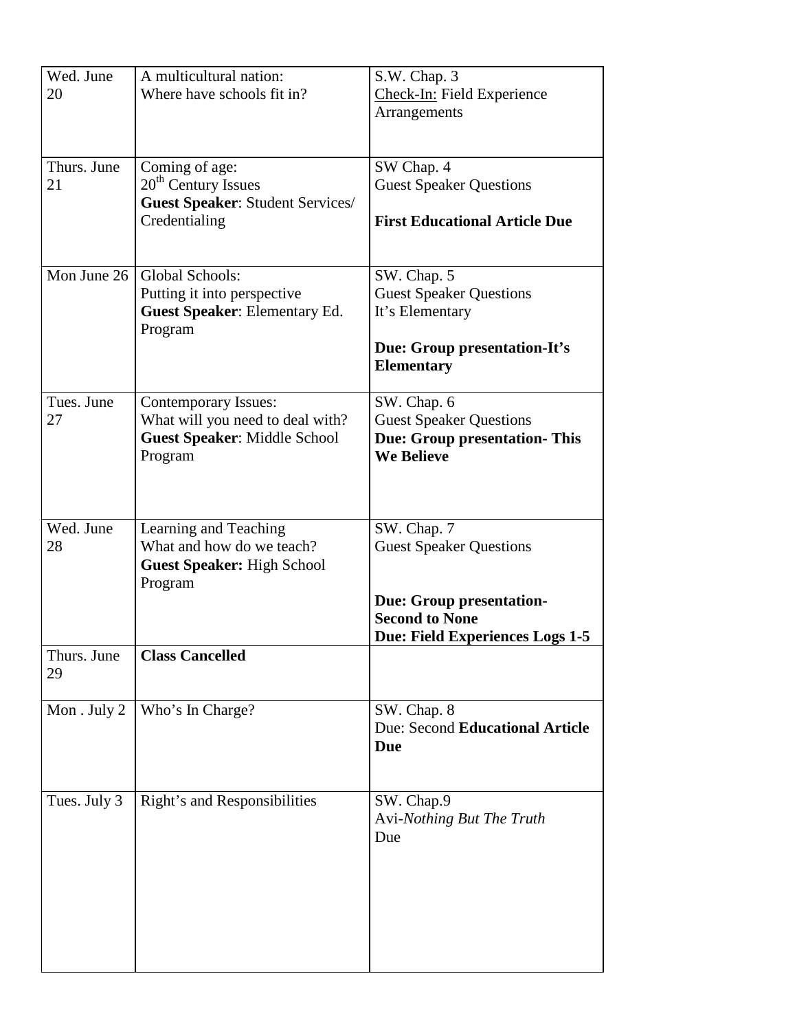| Wed. June    | A multicultural nation:              | S.W. Chap. 3                         |
|--------------|--------------------------------------|--------------------------------------|
| 20           | Where have schools fit in?           | Check-In: Field Experience           |
|              |                                      | Arrangements                         |
|              |                                      |                                      |
|              |                                      |                                      |
| Thurs. June  | Coming of age:                       | SW Chap. 4                           |
| 21           | 20 <sup>th</sup> Century Issues      | <b>Guest Speaker Questions</b>       |
|              | Guest Speaker: Student Services/     |                                      |
|              | Credentialing                        | <b>First Educational Article Due</b> |
|              |                                      |                                      |
|              |                                      |                                      |
| Mon June 26  | Global Schools:                      | SW. Chap. 5                          |
|              | Putting it into perspective          | <b>Guest Speaker Questions</b>       |
|              | <b>Guest Speaker: Elementary Ed.</b> | It's Elementary                      |
|              | Program                              |                                      |
|              |                                      | Due: Group presentation-It's         |
|              |                                      | <b>Elementary</b>                    |
|              |                                      |                                      |
| Tues, June   | <b>Contemporary Issues:</b>          | SW. Chap. 6                          |
| 27           | What will you need to deal with?     | <b>Guest Speaker Questions</b>       |
|              | <b>Guest Speaker: Middle School</b>  | <b>Due: Group presentation- This</b> |
|              | Program                              | <b>We Believe</b>                    |
|              |                                      |                                      |
|              |                                      |                                      |
|              |                                      |                                      |
| Wed. June    | Learning and Teaching                | SW. Chap. 7                          |
| 28           | What and how do we teach?            | <b>Guest Speaker Questions</b>       |
|              | <b>Guest Speaker: High School</b>    |                                      |
|              | Program                              |                                      |
|              |                                      | <b>Due: Group presentation-</b>      |
|              |                                      | <b>Second to None</b>                |
|              |                                      | Due: Field Experiences Logs 1-5      |
| Thurs. June  | <b>Class Cancelled</b>               |                                      |
| 29           |                                      |                                      |
|              |                                      |                                      |
| Mon. July 2  | Who's In Charge?                     | SW. Chap. 8                          |
|              |                                      | Due: Second Educational Article      |
|              |                                      | Due                                  |
|              |                                      |                                      |
|              |                                      |                                      |
| Tues. July 3 | Right's and Responsibilities         | SW. Chap.9                           |
|              |                                      | Avi-Nothing But The Truth            |
|              |                                      | Due                                  |
|              |                                      |                                      |
|              |                                      |                                      |
|              |                                      |                                      |
|              |                                      |                                      |
|              |                                      |                                      |
|              |                                      |                                      |
|              |                                      |                                      |